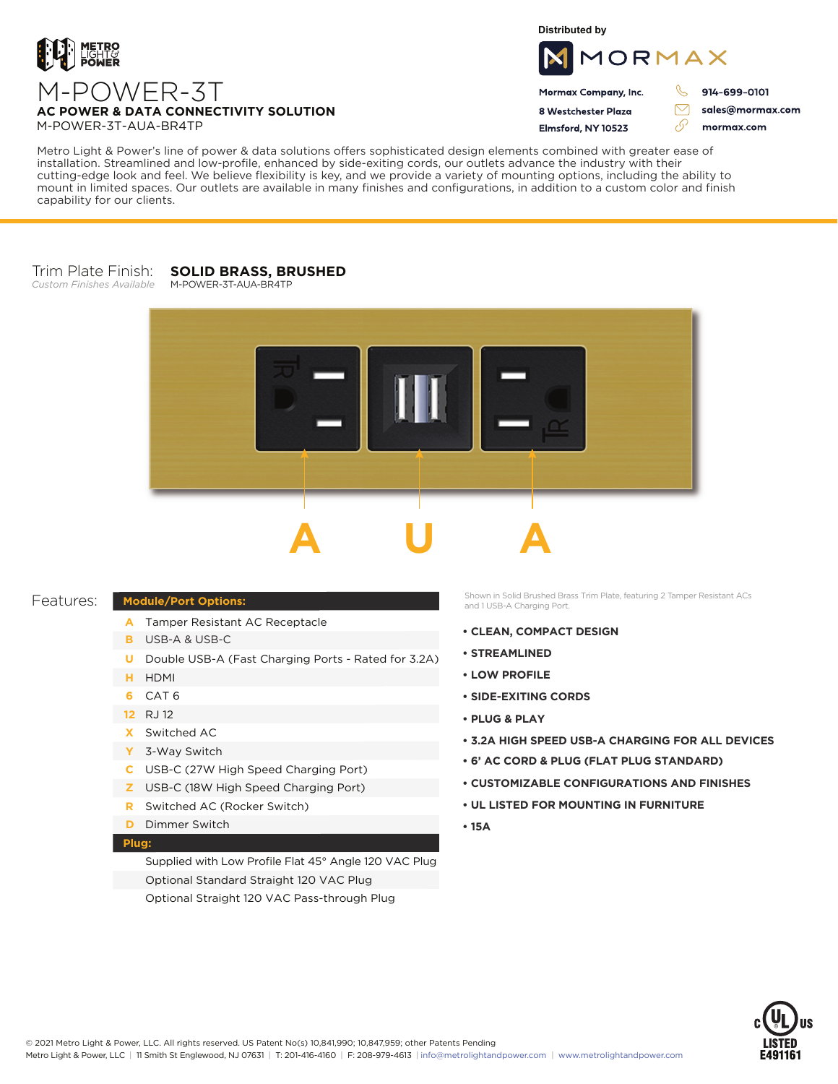

**Distributed by**



Mormax Company, Inc. 8 Westchester Plaza

Flmsford, NY 10523

914-699-0101

ק

 $\triangledown$ 

sales@mormax.com mormax.com

M-POWER-3T-AUA-BR4TP

Metro Light & Power's line of power & data solutions offers sophisticated design elements combined with greater ease of installation. Streamlined and low-profile, enhanced by side-exiting cords, our outlets advance the industry with their cutting-edge look and feel. We believe flexibility is key, and we provide a variety of mounting options, including the ability to mount in limited spaces. Our outlets are available in many finishes and configurations, in addition to a custom color and finish capability for our clients.

#### Trim Plate Finish: **SOLID BRASS, BRUSHED**

*Custom Finishes Available*

# M-POWER-3T-AUA-BR4TP



## Features:

- **Module/Port Options:** A Tamper Resistant AC Receptacle
	- USB-A & USB-C **B**
	- U Double USB-A (Fast Charging Ports Rated for 3.2A)
	- HDMI **H**
	- CAT 6 **6**
	- 12 RJ 12
	- Switched AC **X**
	- 3-Way Switch **Y**
	- USB-C (27W High Speed Charging Port) **C**
	- USB-C (18W High Speed Charging Port) **Z**
	- Switched AC (Rocker Switch) **R**
	- **D** Dimmer Switch

## **Plug:**

Supplied with Low Profile Flat 45° Angle 120 VAC Plug Optional Standard Straight 120 VAC Plug Optional Straight 120 VAC Pass-through Plug

Shown in Solid Brushed Brass Trim Plate, featuring 2 Tamper Resistant ACs and 1 USB-A Charging Port.

- **CLEAN, COMPACT DESIGN**
- **STREAMLINED**
- **LOW PROFILE**
- **SIDE-EXITING CORDS**
- **PLUG & PLAY**
- **3.2A HIGH SPEED USB-A CHARGING FOR ALL DEVICES**
- **6' AC CORD & PLUG (FLAT PLUG STANDARD)**
- **CUSTOMIZABLE CONFIGURATIONS AND FINISHES**
- **UL LISTED FOR MOUNTING IN FURNITURE**
- **15A**